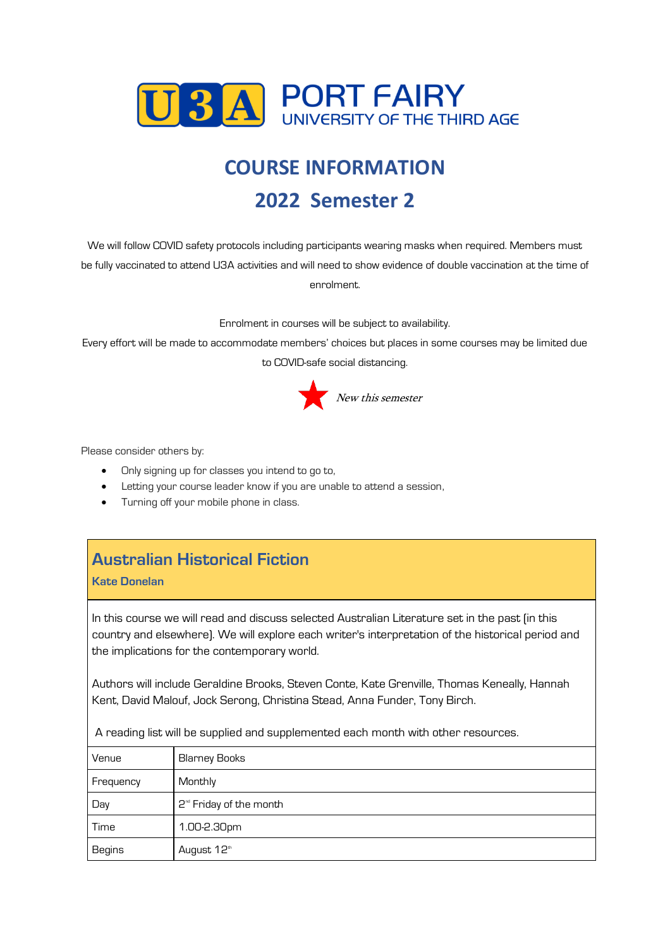

# **COURSE INFORMATION 2022 Semester 2**

We will follow COVID safety protocols including participants wearing masks when required. Members must be fully vaccinated to attend U3A activities and will need to show evidence of double vaccination at the time of enrolment.

Enrolment in courses will be subject to availability.

Every effort will be made to accommodate members' choices but places in some courses may be limited due to COVID-safe social distancing.



Please consider others by:

- Only signing up for classes you intend to go to,
- Letting your course leader know if you are unable to attend a session,
- Turning off your mobile phone in class.

# **Australian Historical Fiction**

**Kate Donelan**

In this course we will read and discuss selected Australian Literature set in the past (in this country and elsewhere). We will explore each writer's interpretation of the historical period and the implications for the contemporary world.

Authors will include Geraldine Brooks, Steven Conte, Kate Grenville, Thomas Keneally, Hannah Kent, David Malouf, Jock Serong, Christina Stead, Anna Funder, Tony Birch.

A reading list will be supplied and supplemented each month with other resources.

| Venue     | Blarney Books                       |
|-----------|-------------------------------------|
| Frequency | Monthly                             |
| Day       | 2 <sup>nd</sup> Friday of the month |
| Time      | 1.00-2.30pm                         |
| Begins    | August 12th                         |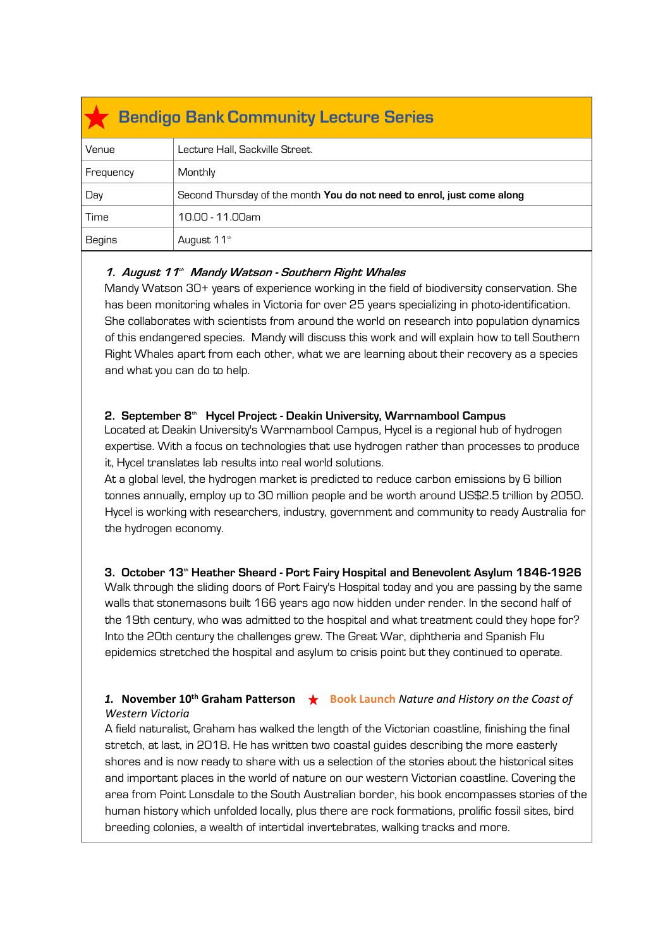| <b>Bendigo Bank Community Lecture Series</b> |                                                                               |  |
|----------------------------------------------|-------------------------------------------------------------------------------|--|
| Venue                                        | Lecture Hall, Sackville Street.                                               |  |
| Frequency                                    | Monthly                                                                       |  |
| Day                                          | Second Thursday of the month <b>You do not need to enrol, just come along</b> |  |
| Time                                         | 10.00 - 11.00am                                                               |  |
| <b>Begins</b>                                | August 11 <sup>th</sup>                                                       |  |

#### **1. August 11 th Mandy Watson - Southern Right Whales**

Mandy Watson 30+ years of experience working in the field of biodiversity conservation. She has been monitoring whales in Victoria for over 25 years specializing in photo-identification. She collaborates with scientists from around the world on research into population dynamics of this endangered species. Mandy will discuss this work and will explain how to tell Southern Right Whales apart from each other, what we are learning about their recovery as a species and what you can do to help.

#### **2. September 8 th Hycel Project - Deakin University, Warrnambool Campus**

Located at Deakin University's Warrnambool Campus, Hycel is a regional hub of hydrogen expertise. With a focus on technologies that use hydrogen rather than processes to produce it, Hycel translates lab results into real world solutions.

At a global level, the hydrogen market is predicted to reduce carbon emissions by 6 billion tonnes annually, employ up to 30 million people and be worth around US\$2.5 trillion by 2050. Hycel is working with researchers, industry, government and community to ready Australia for the hydrogen economy.

**3. October 13th Heather Sheard - Port Fairy Hospital and Benevolent Asylum 1846-1926** Walk through the sliding doors of Port Fairy's Hospital today and you are passing by the same walls that stonemasons built 166 years ago now hidden under render. In the second half of the 19th century, who was admitted to the hospital and what treatment could they hope for? Into the 20th century the challenges grew. The Great War, diphtheria and Spanish Flu epidemics stretched the hospital and asylum to crisis point but they continued to operate.

#### **1. November 10<sup>th</sup> Graham Patterson ★ Book Launch** Nature and History on the Coast of *Western Victoria*

A field naturalist, Graham has walked the length of the Victorian coastline, finishing the final stretch, at last, in 2018. He has written two coastal guides describing the more easterly shores and is now ready to share with us a selection of the stories about the historical sites and important places in the world of nature on our western Victorian coastline. Covering the area from Point Lonsdale to the South Australian border, his book encompasses stories of the human history which unfolded locally, plus there are rock formations, prolific fossil sites, bird breeding colonies, a wealth of intertidal invertebrates, walking tracks and more.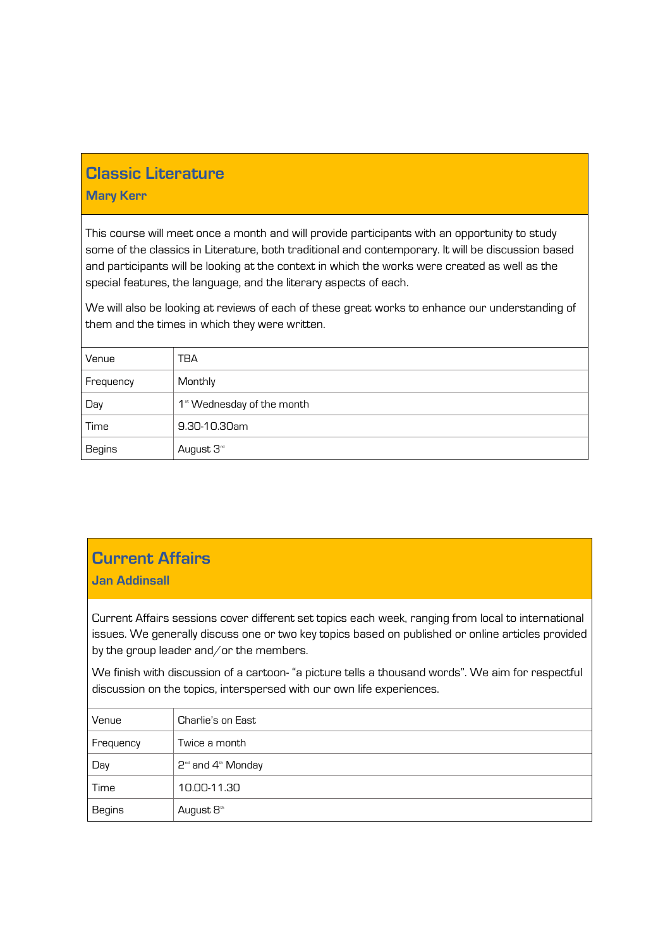### **Classic Literature**

#### **Mary Kerr**

This course will meet once a month and will provide participants with an opportunity to study some of the classics in Literature, both traditional and contemporary. It will be discussion based and participants will be looking at the context in which the works were created as well as the special features, the language, and the literary aspects of each.

We will also be looking at reviews of each of these great works to enhance our understanding of them and the times in which they were written.

| Venue     | TBA                                    |
|-----------|----------------------------------------|
| Frequency | Monthly                                |
| Day       | 1 <sup>st</sup> Wednesday of the month |
| Time      | 9.30-10.30am                           |
| Begins    | August 3 <sup>rd</sup>                 |

### **Current Affairs**

#### **Jan Addinsall**

Current Affairs sessions cover different set topics each week, ranging from local to international issues. We generally discuss one or two key topics based on published or online articles provided by the group leader and/or the members.

We finish with discussion of a cartoon- "a picture tells a thousand words". We aim for respectful discussion on the topics, interspersed with our own life experiences.

| Venue         | Charlie's on East                    |
|---------------|--------------------------------------|
| Frequency     | Twice a month                        |
| Day           | $2^{\omega}$ and $4^{\omega}$ Monday |
| Time          | 10.00-11.30                          |
| <b>Begins</b> | August 8th                           |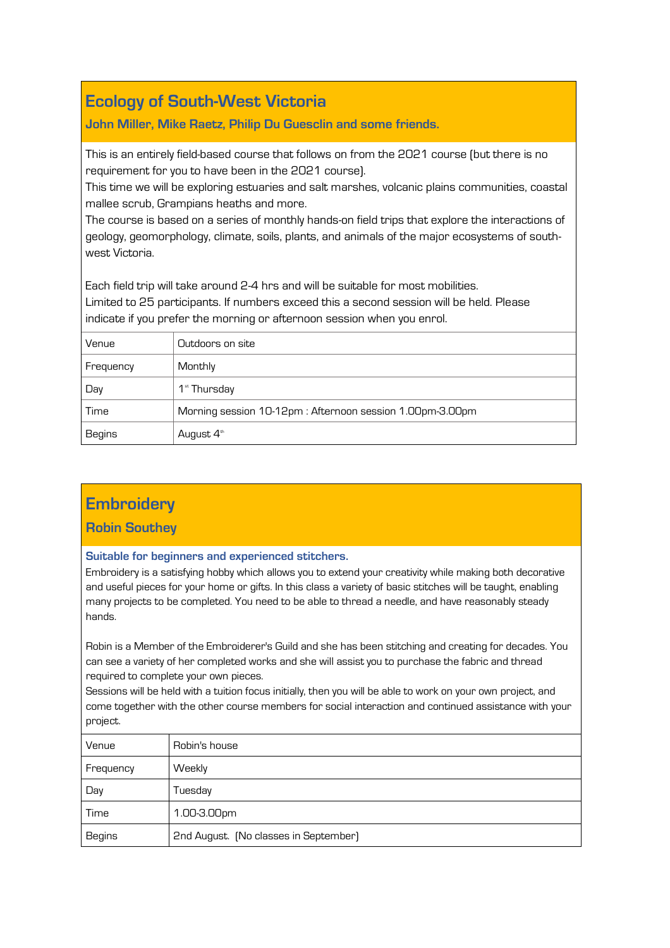# **Ecology of South-West Victoria**

#### **John Miller, Mike Raetz, Philip Du Guesclin and some friends.**

This is an entirely field-based course that follows on from the 2021 course (but there is no requirement for you to have been in the 2021 course).

This time we will be exploring estuaries and salt marshes, volcanic plains communities, coastal mallee scrub, Grampians heaths and more.

The course is based on a series of monthly hands-on field trips that explore the interactions of geology, geomorphology, climate, soils, plants, and animals of the major ecosystems of southwest Victoria.

Each field trip will take around 2-4 hrs and will be suitable for most mobilities.

Limited to 25 participants. If numbers exceed this a second session will be held. Please indicate if you prefer the morning or afternoon session when you enrol.

| Venue         | Outdoors on site                                         |
|---------------|----------------------------------------------------------|
| Frequency     | Monthly                                                  |
| Day           | 1 <sup>st</sup> Thursday                                 |
| Time          | Morning session 10-12pm: Afternoon session 1.00pm-3.00pm |
| <b>Begins</b> | August 4 <sup>th</sup>                                   |

### **Embroidery**

#### **Robin Southey**

#### **Suitable for beginners and experienced stitchers.**

Embroidery is a satisfying hobby which allows you to extend your creativity while making both decorative and useful pieces for your home or gifts. In this class a variety of basic stitches will be taught, enabling many projects to be completed. You need to be able to thread a needle, and have reasonably steady hands.

Robin is a Member of the Embroiderer's Guild and she has been stitching and creating for decades. You can see a variety of her completed works and she will assist you to purchase the fabric and thread required to complete your own pieces.

Sessions will be held with a tuition focus initially, then you will be able to work on your own project, and come together with the other course members for social interaction and continued assistance with your project.

| Venue         | Robin's house                         |
|---------------|---------------------------------------|
| Frequency     | Weekly                                |
| Day           | Tuesday                               |
| Time          | 1.00-3.00pm                           |
| <b>Begins</b> | 2nd August. (No classes in September) |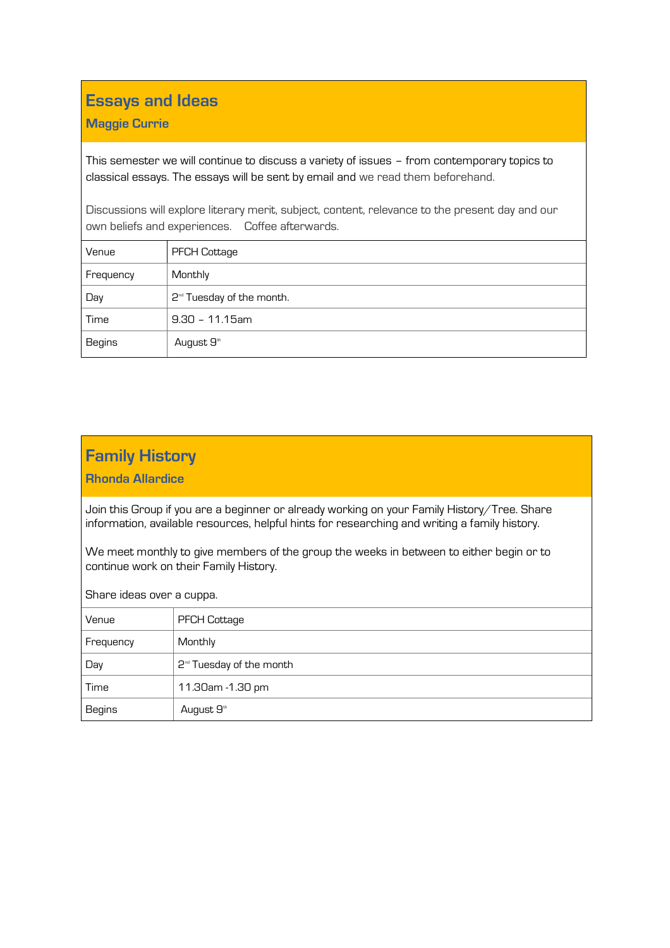# **Essays and Ideas**

#### **Maggie Currie**

This semester we will continue to discuss a variety of issues – from contemporary topics to classical essays. The essays will be sent by email and we read them beforehand.

Discussions will explore literary merit, subject, content, relevance to the present day and our own beliefs and experiences. Coffee afterwards.

| Venue     | <b>PFCH Cottage</b>                   |
|-----------|---------------------------------------|
| Frequency | Monthly                               |
| Day       | 2 <sup>nd</sup> Tuesday of the month. |
| Time      | $9.30 - 11.15$ am                     |
| Begins    | August 9th                            |

# **Family History**

**Rhonda Allardice** 

Join this Group if you are a beginner or already working on your Family History/Tree. Share information, available resources, helpful hints for researching and writing a family history.

We meet monthly to give members of the group the weeks in between to either begin or to continue work on their Family History.

Share ideas over a cuppa.

| Venue         | <b>PFCH Cottage</b>                  |
|---------------|--------------------------------------|
| Frequency     | Monthly                              |
| Day           | 2 <sup>nd</sup> Tuesday of the month |
| Time          | 11.30am - 1.30 pm                    |
| <b>Begins</b> | August 9 <sup>th</sup>               |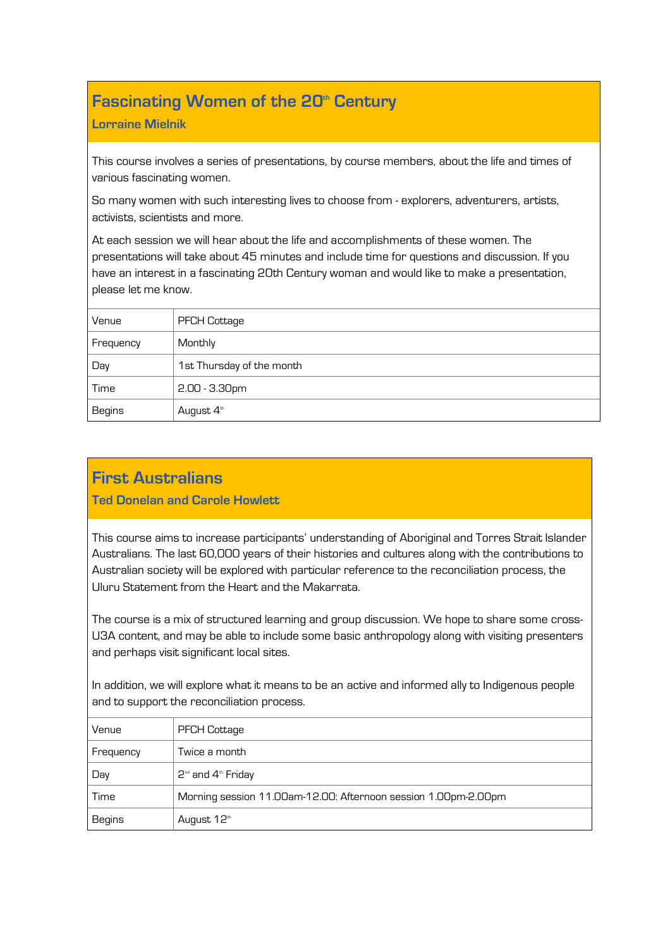# **Fascinating Women of the 20th Century**

#### **Lorraine Mielnik**

This course involves a series of presentations, by course members, about the life and times of various fascinating women.

So many women with such interesting lives to choose from - explorers, adventurers, artists, activists, scientists and more.

At each session we will hear about the life and accomplishments of these women. The presentations will take about 45 minutes and include time for questions and discussion. If you have an interest in a fascinating 20th Century woman and would like to make a presentation, please let me know.

| Venue         | <b>PFCH Cottage</b>       |
|---------------|---------------------------|
| Frequency     | Monthly                   |
| Day           | 1st Thursday of the month |
| Time          | $2.00 - 3.30$ pm          |
| <b>Begins</b> | August 4 <sup>th</sup>    |

### **First Australians**

**Ted Donelan and Carole Howlett** 

This course aims to increase participants' understanding of Aboriginal and Torres Strait Islander Australians. The last 60,000 years of their histories and cultures along with the contributions to Australian society will be explored with particular reference to the reconciliation process, the Uluru Statement from the Heart and the Makarrata.

The course is a mix of structured learning and group discussion. We hope to share some cross-U3A content, and may be able to include some basic anthropology along with visiting presenters and perhaps visit significant local sites.

In addition, we will explore what it means to be an active and informed ally to Indigenous people and to support the reconciliation process.

| Venue         | <b>PFCH Cottage</b>                                            |
|---------------|----------------------------------------------------------------|
| Frequency     | Twice a month                                                  |
| Day           | $2^{\omega}$ and $4^{\omega}$ Friday                           |
| Time          | Morning session 11.00am-12.00: Afternoon session 1.00pm-2.00pm |
| <b>Begins</b> | August 12th                                                    |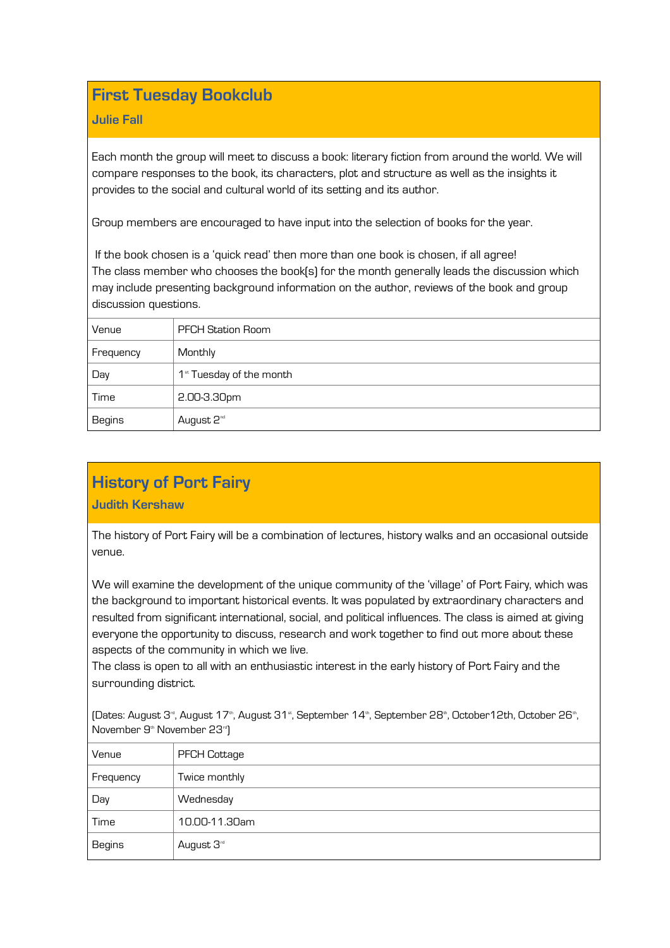### **First Tuesday Bookclub**

#### **Julie Fall**

Each month the group will meet to discuss a book: literary fiction from around the world. We will compare responses to the book, its characters, plot and structure as well as the insights it provides to the social and cultural world of its setting and its author.

Group members are encouraged to have input into the selection of books for the year.

If the book chosen is a 'quick read' then more than one book is chosen, if all agree! The class member who chooses the book(s) for the month generally leads the discussion which may include presenting background information on the author, reviews of the book and group discussion questions.

| Venue     | <b>PFCH Station Room</b>             |
|-----------|--------------------------------------|
| Frequency | Monthly                              |
| Day       | 1 <sup>st</sup> Tuesday of the month |
| Time      | 2.00-3.30pm                          |
| Begins    | August 2 <sup>nd</sup>               |

# **History of Port Fairy**

#### **Judith Kershaw**

The history of Port Fairy will be a combination of lectures, history walks and an occasional outside venue.

We will examine the development of the unique community of the 'village' of Port Fairy, which was the background to important historical events. It was populated by extraordinary characters and resulted from significant international, social, and political influences. The class is aimed at giving everyone the opportunity to discuss, research and work together to find out more about these aspects of the community in which we live.

The class is open to all with an enthusiastic interest in the early history of Port Fairy and the surrounding district.

(Dates: August 3", August 17", August 31", September 14", September 28", October 12th, October 26", November 9<sup>th</sup> November 23<sup>rd</sup>)

| Venue         | <b>PFCH Cottage</b>    |
|---------------|------------------------|
| Frequency     | Twice monthly          |
| Day           | Wednesday              |
| Time          | 10.00-11.30am          |
| <b>Begins</b> | August 3 <sup>rd</sup> |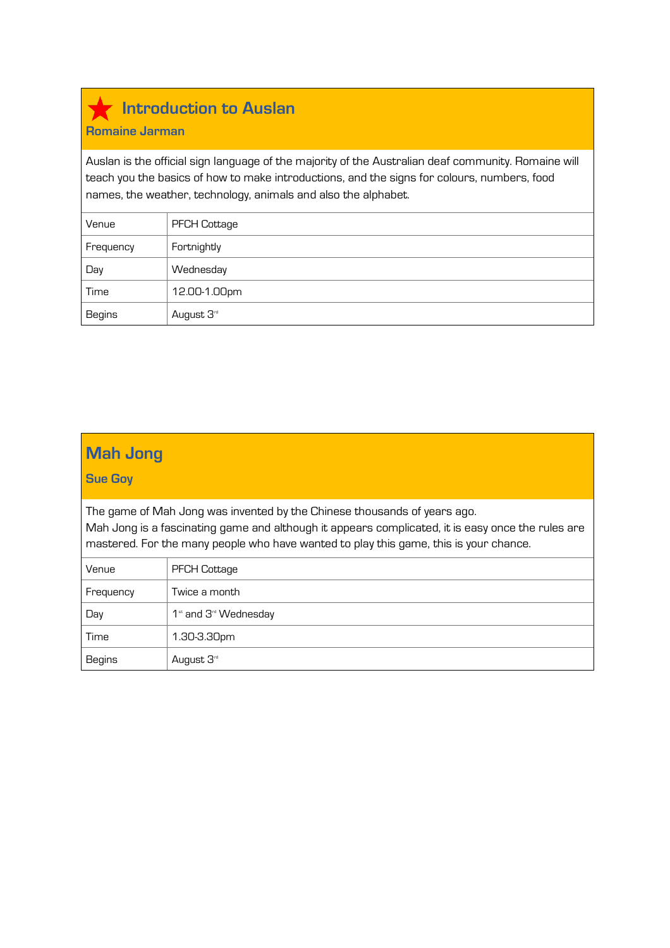# **Introduction to Auslan**

#### **Romaine Jarman**

Auslan is the official sign language of the majority of the Australian deaf community. Romaine will teach you the basics of how to make introductions, and the signs for colours, numbers, food names, the weather, technology, animals and also the alphabet.

| Venue         | <b>PFCH Cottage</b>    |
|---------------|------------------------|
| Frequency     | Fortnightly            |
| Day           | Wednesday              |
| Time          | 12.00-1.00pm           |
| <b>Begins</b> | August 3 <sup>rd</sup> |

# **Mah Jong**

#### **Sue Goy**

The game of Mah Jong was invented by the Chinese thousands of years ago. Mah Jong is a fascinating game and although it appears complicated, it is easy once the rules are mastered. For the many people who have wanted to play this game, this is your chance.

| Venue         | <b>PFCH Cottage</b>                           |
|---------------|-----------------------------------------------|
| Frequency     | Twice a month                                 |
| Day           | 1 <sup>st</sup> and 3 <sup>rd</sup> Wednesday |
| Time          | 1.30-3.30pm                                   |
| <b>Begins</b> | August 3 <sup>rd</sup>                        |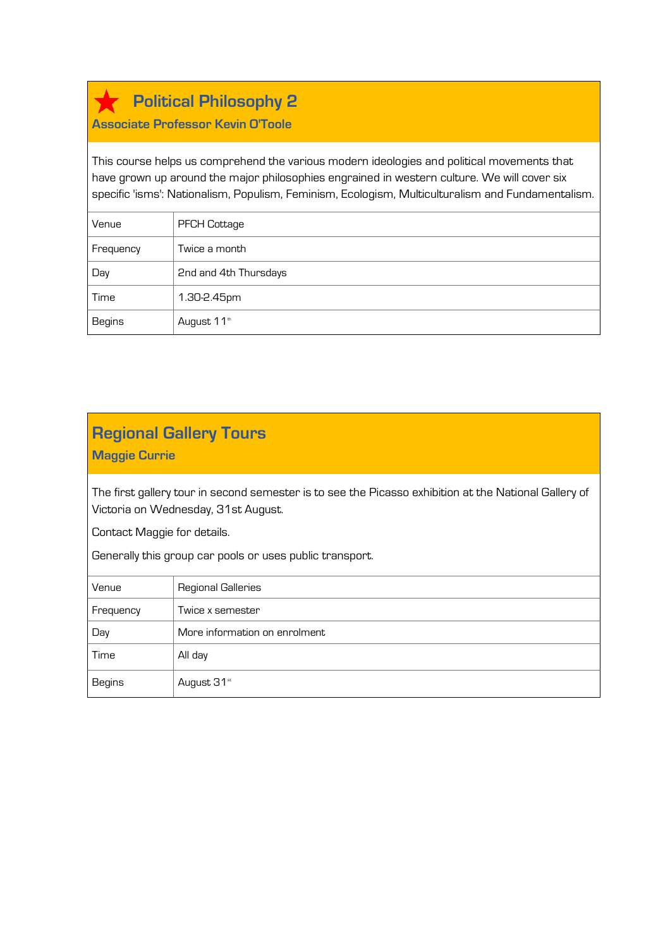**Political Philosophy 2**

#### **Associate Professor Kevin O'Toole**

This course helps us comprehend the various modern ideologies and political movements that have grown up around the major philosophies engrained in western culture. We will cover six specific 'isms': Nationalism, Populism, Feminism, Ecologism, Multiculturalism and Fundamentalism.

| Venue         | <b>PFCH Cottage</b>   |
|---------------|-----------------------|
| Frequency     | Twice a month         |
| Day           | 2nd and 4th Thursdays |
| Time          | 1.30-2.45pm           |
| <b>Begins</b> | August 11th           |

### **Regional Gallery Tours**

**Maggie Currie** 

The first gallery tour in second semester is to see the Picasso exhibition at the National Gallery of Victoria on Wednesday, 31st August.

Contact Maggie for details.

Generally this group car pools or uses public transport.

| Venue     | <b>Regional Galleries</b>     |
|-----------|-------------------------------|
| Frequency | Twice x semester              |
| Day       | More information on enrolment |
| Time      | All day                       |
| Begins    | August 31 <sup>st</sup>       |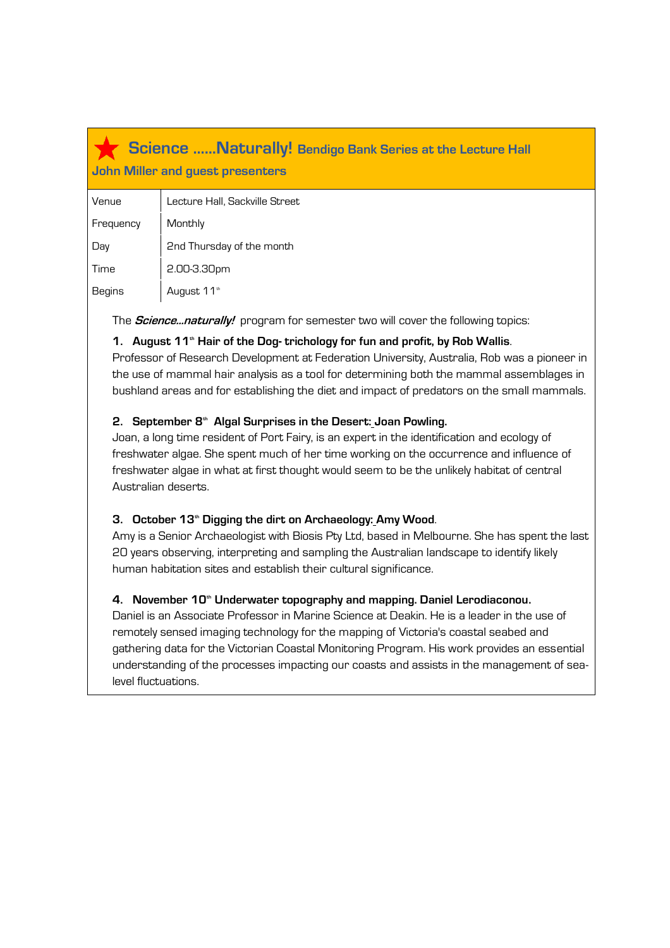### **Science ……Naturally! Bendigo Bank Series at the Lecture Hall John Miller and guest presenters**

| Venue     | Lecture Hall, Sackville Street |
|-----------|--------------------------------|
| Frequency | Monthly                        |
| Day       | 2nd Thursday of the month      |
| Time      | 2.00-3.30pm                    |
| Begins    | August 11 <sup>th</sup>        |

The **Science...naturally!** program for semester two will cover the following topics:

#### **1. August 11th Hair of the Dog- trichology for fun and profit, by Rob Wallis**.

Professor of Research Development at Federation University, Australia, Rob was a pioneer in the use of mammal hair analysis as a tool for determining both the mammal assemblages in bushland areas and for establishing the diet and impact of predators on the small mammals.

#### **2. September 8th Algal Surprises in the Desert: Joan Powling.**

Joan, a long time resident of Port Fairy, is an expert in the identification and ecology of freshwater algae. She spent much of her time working on the occurrence and influence of freshwater algae in what at first thought would seem to be the unlikely habitat of central Australian deserts.

#### **3. October 13th Digging the dirt on Archaeology: Amy Wood**.

Amy is a Senior Archaeologist with Biosis Pty Ltd, based in Melbourne. She has spent the last 20 years observing, interpreting and sampling the Australian landscape to identify likely human habitation sites and establish their cultural significance.

#### **4. November 10th Underwater topography and mapping. Daniel Lerodiaconou.**

Daniel is an Associate Professor in Marine Science at Deakin. He is a leader in the use of remotely sensed imaging technology for the mapping of Victoria's coastal seabed and gathering data for the Victorian Coastal Monitoring Program. His work provides an essential understanding of the processes impacting our coasts and assists in the management of sealevel fluctuations.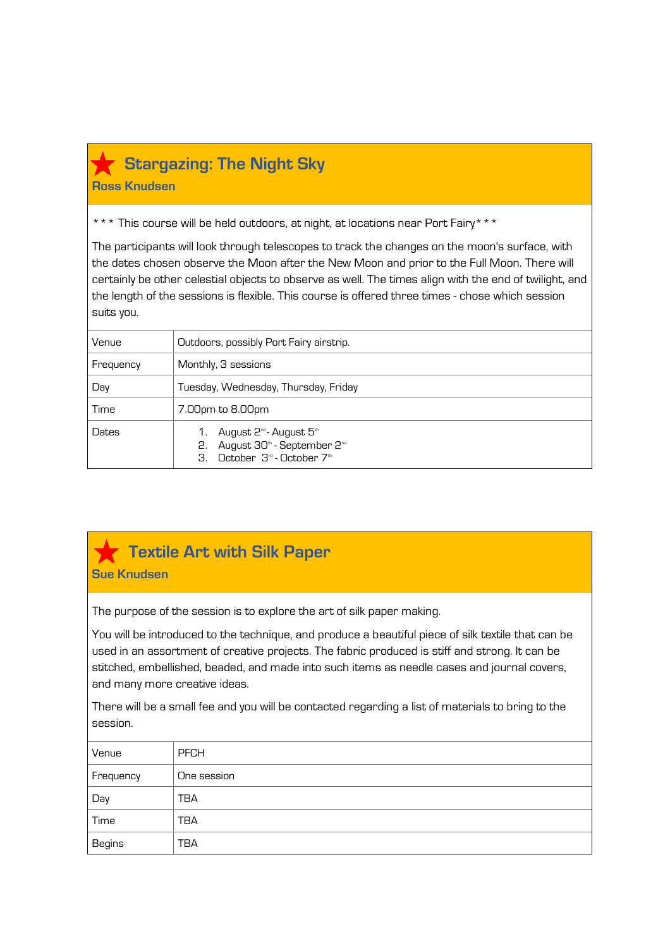

### **Stargazing: The Night Sky**

**Ross Knudsen**

\*\*\* This course will be held outdoors, at night, at locations near Port Fairy\*\*\*

The participants will look through telescopes to track the changes on the moon's surface, with the dates chosen observe the Moon after the New Moon and prior to the Full Moon. There will certainly be other celestial objects to observe as well. The times align with the end of twilight, and the length of the sessions is flexible. This course is offered three times - chose which session suits you.

| Venue     | Outdoors, possibly Port Fairy airstrip.                                                                                                                                                              |
|-----------|------------------------------------------------------------------------------------------------------------------------------------------------------------------------------------------------------|
| Frequency | Monthly, 3 sessions                                                                                                                                                                                  |
| Day       | Tuesday, Wednesday, Thursday, Friday                                                                                                                                                                 |
| Time      | 7.00pm to 8.00pm                                                                                                                                                                                     |
| Dates     | August 2 <sup>nd</sup> - August 5 <sup>th</sup><br>August 30 <sup>th</sup> - September 2 <sup>nd</sup><br>2.<br>$\cap$ ctober $\mathcal{B}^{\mathcal{A}}$ -October $\mathcal{B}^{\mathcal{A}}$<br>З. |

# **Textile Art with Silk Paper**

**Sue Knudsen**

The purpose of the session is to explore the art of silk paper making.

You will be introduced to the technique, and produce a beautiful piece of silk textile that can be used in an assortment of creative projects. The fabric produced is stiff and strong. It can be stitched, embellished, beaded, and made into such items as needle cases and journal covers, and many more creative ideas.

There will be a small fee and you will be contacted regarding a list of materials to bring to the session.

| Venue         | <b>PFCH</b> |
|---------------|-------------|
| Frequency     | One session |
| Day           | <b>TBA</b>  |
| Time          | <b>TBA</b>  |
| <b>Begins</b> | <b>TBA</b>  |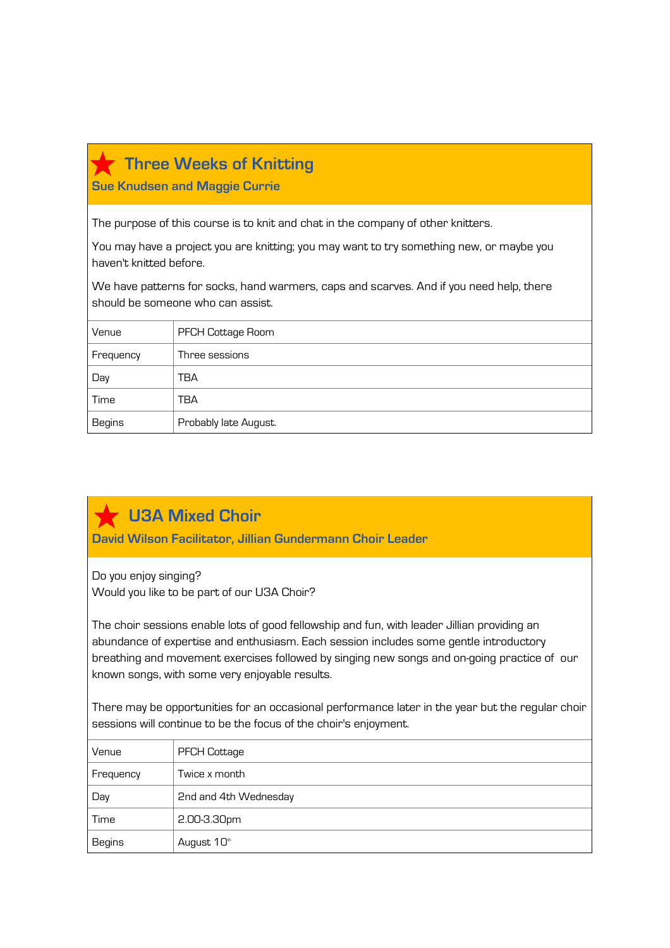| <b>THE CC VVCCRS OF INTRODUCT</b>                                                                                            |                                                                                          |  |
|------------------------------------------------------------------------------------------------------------------------------|------------------------------------------------------------------------------------------|--|
| <b>Sue Knudsen and Maggie Currie</b>                                                                                         |                                                                                          |  |
|                                                                                                                              | The purpose of this course is to knit and chat in the company of other knitters.         |  |
|                                                                                                                              |                                                                                          |  |
| haven't knitted before.                                                                                                      | You may have a project you are knitting; you may want to try something new, or maybe you |  |
| We have patterns for socks, hand warmers, caps and scarves. And if you need help, there<br>should be someone who can assist. |                                                                                          |  |
| Venue                                                                                                                        | PFCH Cottage Room                                                                        |  |
| Frequency                                                                                                                    | Three sessions                                                                           |  |
| Day                                                                                                                          | TBA                                                                                      |  |
| Time                                                                                                                         | TBA                                                                                      |  |
|                                                                                                                              |                                                                                          |  |

# **U3A Mixed Choir**

Begins | Probably late August.

**David Wilson Facilitator, Jillian Gundermann Choir Leader** 

Do you enjoy singing? Would you like to be part of our U3A Choir?

**Three Weeks of Knitting**

The choir sessions enable lots of good fellowship and fun, with leader Jillian providing an abundance of expertise and enthusiasm. Each session includes some gentle introductory breathing and movement exercises followed by singing new songs and on-going practice of our known songs, with some very enjoyable results.

There may be opportunities for an occasional performance later in the year but the regular choir sessions will continue to be the focus of the choir's enjoyment.

| Venue     | <b>PFCH Cottage</b>   |
|-----------|-----------------------|
| Frequency | Twice x month         |
| Day       | 2nd and 4th Wednesday |
| Time      | 2.00-3.30pm           |
| Begins    | August 10th           |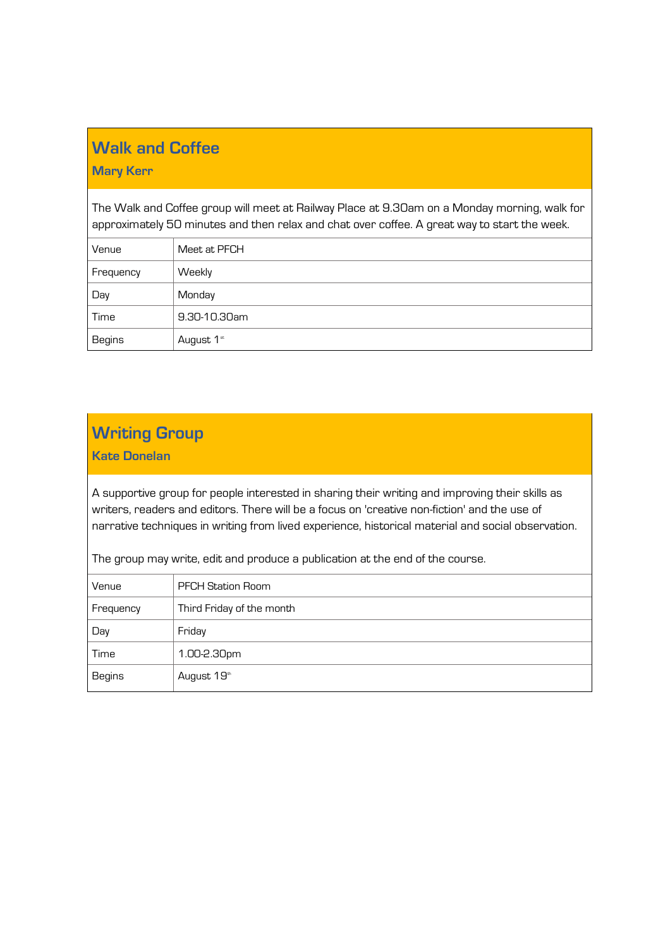# **Walk and Coffee**

#### **Mary Kerr**

The Walk and Coffee group will meet at Railway Place at 9.30am on a Monday morning, walk for approximately 50 minutes and then relax and chat over coffee. A great way to start the week.

| Venue     | Meet at PFCH |
|-----------|--------------|
| Frequency | Weekly       |
| Day       | Monday       |
| Time      | 9.30-10.30am |
| Begins    | August 1st   |

# **Writing Group**

**Kate Donelan** 

A supportive group for people interested in sharing their writing and improving their skills as writers, readers and editors. There will be a focus on 'creative non-fiction' and the use of narrative techniques in writing from lived experience, historical material and social observation.

The group may write, edit and produce a publication at the end of the course.

| Venue     | <b>PFCH Station Room</b>  |
|-----------|---------------------------|
| Frequency | Third Friday of the month |
| Day       | Friday                    |
| Time      | 1.00-2.30pm               |
| Begins    | August 19th               |